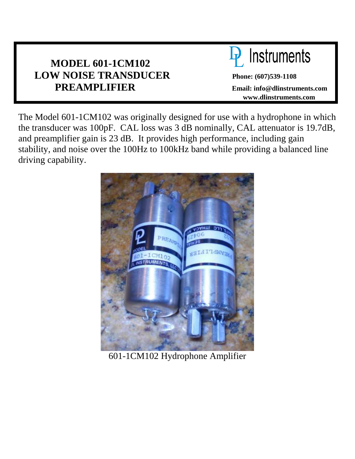# **MODEL 601-1CM102 LOW NOISE TRANSDUCER Phone: (607)539-1108 PREAMPLIFIER Email: info@dlinstruments.com**



 **www.dlinstruments.com** 

The Model 601-1CM102 was originally designed for use with a hydrophone in which the transducer was 100pF. CAL loss was 3 dB nominally, CAL attenuator is 19.7dB, and preamplifier gain is 23 dB. It provides high performance, including gain stability, and noise over the 100Hz to 100kHz band while providing a balanced line driving capability.



601-1CM102 Hydrophone Amplifier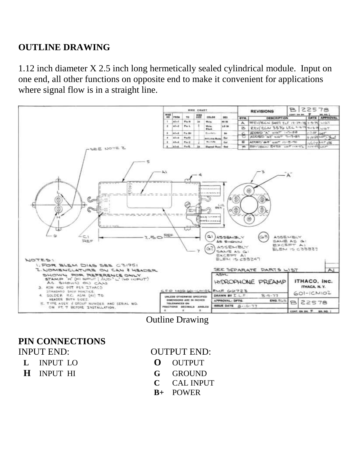# **OUTLINE DRAWING**

1.12 inch diameter X 2.5 inch long hermetically sealed cylindrical module. Input on one end, all other functions on opposite end to make it convenient for applications where signal flow is in a straight line.



Outline Drawing

**PIN CONNECTIONS** INPUT END: OUTPUT END:

- 
- 

- **L** INPUT LO **O** OUTPUT
- **H** INPUT HI **G** GROUND
	- **C** CAL INPUT
	- **B+** POWER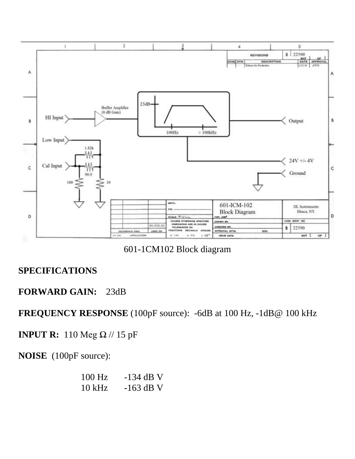

601-1CM102 Block diagram

## **SPECIFICATIONS**

## **FORWARD GAIN:** 23dB

**FREQUENCY RESPONSE** (100pF source):-6dB at 100 Hz, -1dB@ 100 kHz

**INPUT R:** 110 Meg Ω // 15 pF

**NOISE** (100pF source):

| 100 Hz   | $-134$ dB V |
|----------|-------------|
| $10$ kHz | $-163$ dB V |